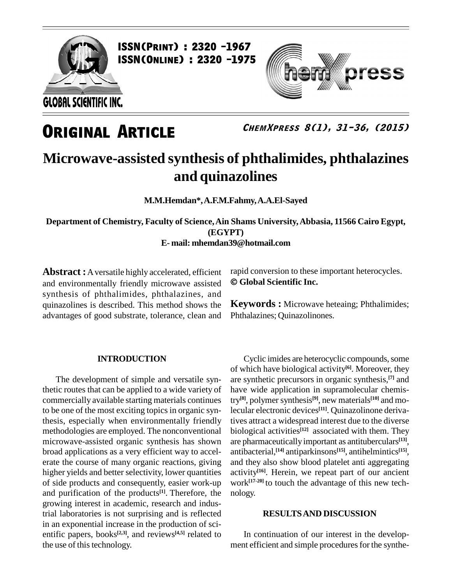

ess

**ChemXpress 8(1), 31-36, (2015)**

### **Microwave-assisted synthesis of phthalimides, phthalazines and quinazolines**

**M.M.Hemdan\*,A.F.M.Fahmy,A.A.El-Sayed**

**Department of Chemistry, Faculty of Science,Ain Shams University,Abbasia, 11566 Cairo Egypt, (EGYPT) E- mail: [mhemdan39@hotmail.com](mailto:mhemdan39@hotmail.com)**

**Abstract :**Aversatile highly accelerated, efficient and environmentally friendly microwave assisted synthesis of phthalimides, phthalazines, and quinazolines is described. This method shows the advantages of good substrate, tolerance, clean and

#### **INTRODUCTION**

The development of simple and versatile synthetic routes that can be applied to a wide variety of commercially available starting materials continues to be one of the most exciting topics in organic synthesis, especially when environmentally friendly methodologies are employed. The nonconventional microwave-assisted organic synthesis has shown broad applications as a very efficient way to accel erate the course of many organic reactions, giving higher yields and better selectivity, lower quantities of side products and consequently, easier work-up and purification of the products<sup>[1]</sup>. Therefore, the nolog growing interest in academic, research and industrial laboratories is not surprising and is reflected in an exponential increase in the production of sci entific papers, books<sup>[2,3]</sup>, and reviews<sup>[4,5]</sup> related to In the use of this technology.

rapid conversion to these important heterocycles. **Global Scientific Inc.**

**Keywords :** Microwave heteaing; Phthalimides; Phthalazines; Quinazolinones.

Cyclic imides are heterocyclic compounds, some of which have biological activity **[6]**. Moreover, they are synthetic precursors in organic synthesis, **[7]** and have wide application in supramolecular chemistry<sup>[8]</sup>, polymer synthesis<sup>[9]</sup>, new materials<sup>[10]</sup> and molecular electronic devices **[11]**. Quinazolinone derivatives attract a widespread interest due to the diverse biological activities **[12]** associated with them. They are pharmaceutically important as antituberculars **[13]**, antibacterial, **[14]** antiparkinsons **[15]**, antihelmintics **[15]**, and they also show blood platelet anti aggregating activity **[16]**. Herein, we repeat part of our ancient work **[17-20]** to touch the advantage of this new tech nology.

#### **RESULTSAND DISCUSSION**

In continuation of our interest in the develop ment efficient and simple procedures for the synthe-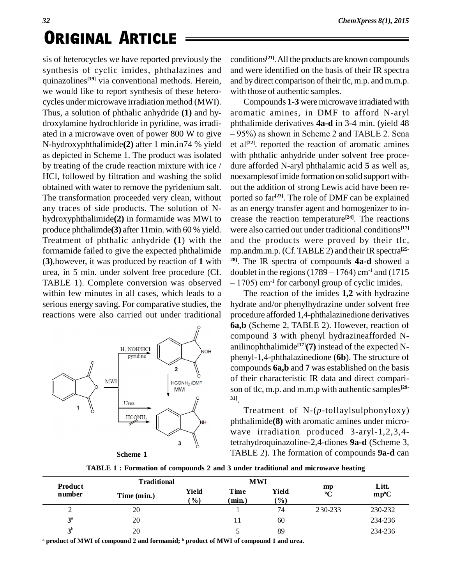sis of heterocycles we have reported previously the synthesis of cyclic imides, phthalazines and quinazolines **[19]** via conventional methods. Herein, we would like to report synthesis of these hetero cycles under microwave irradiation method (MWI). Thus, a solution of phthalic anhydride **(1)** and hy droxylamine hydrochloride in pyridine, was irradi ated in a microwave oven of power 800 W to give  $-95\%$  as shown in Scheme 2 and TABLE 2. Sena N-hydroxyphthalimide**(2)** after 1 min.in74 % yield as depicted in Scheme 1. The product was isolated by treating of the crude reaction mixture with ice / HCl, followed by filtration and washing the solid obtained with water to remove the pyridenium salt. The transformation proceeded very clean, without any traces of side products. The solution of N hydroxyphthalimide**(2)** in formamide was MWI to produce phthalimde**(3)** after 11min. with 60 % yield. Treatment of phthalic anhydride **(1**) with the formamide failed to give the expected phthalimide (**3)**,however, it was produced by reaction of **1** with urea, in 5 min. under solvent free procedure (Cf. doublet in the regions  $(1789 - 1764)$  cm<sup>-1</sup> and  $(1715$ TABLE 1). Complete conversion was observed  $-1705$  cm<sup>-1</sup> for carbonyl group of cyclic imides. within few minutes in all cases, which leads to a serious energy saving. For comparative studies, the reactions were also carried out under traditional



conditions **[21]**.All the products are known compounds and were identified on the basis of their IR spectra and by direct comparison of their tlc, m.p. and m.m.p. with those of authentic samples.

Compounds **1-3** were microwave irradiated with aromatic amines, in DMF to afford N-aryl<br>phthalimide derivatives  $4a-d$  in 3-4 min. (yield 48<br>- 95%) as shown in Scheme 2 and TABLE 2. Sena phthalimide derivatives **4a-d** in 3-4 min. (yield 48 et al<sup>[22]</sup>. reported the reaction of aromatic amines with phthalic anhydride under solvent free proce dure afforded N-aryl phthalamic acid **5** as well as, noexamplesofimide formation on solid support with out the addition of strong Lewis acid have been re ported so far **[23]**. The role of DMF can be explained as an energy transfer agent and homogenizer to in crease the reaction temperature **[24]**. The reactions were also carried out under traditional conditions **[17]** and the products were proved by their tlc, mp.andm.m.p. (Cf. TABLE 2) and their IR spectra<sup>[25-</sup><sup>28]</sup>. The IR spectra of compounds **4a-d** showed a doublet in the regions (1789 – 1764) cm<sup>-1</sup> and (1715) <sup>28]</sup>. The IR spectra of compounds **4a-d** showed a doublet in the regions (1789 – 1764) cm<sup>-1</sup> and (1715 – 1705) cm<sup>-1</sup> for carbonyl group of cyclic imides.

The reaction of the imides **1,2** with hydrazine hydrate and/or phenylhydrazine under solvent free procedure afforded 1,4-phthalazinedione derivatives **6a,b** (Scheme 2, TABLE 2). However, reaction of compound **3** with phenyl hydrazineafforded N anilinophthalimide **[17](7)** instead of the expected N phenyl-1,4-phthalazinedione (**6b**). The structure of compounds **6a,b** and **7** was established on the basis of their characteristic IR data and direct compari son of tlc, m.p. and m.m.p with authentic samples **[29- 31]**.

Treatment of N-(*p*-tollaylsulphonyloxy) phthalimide**(8)** with aromatic amines under micro wave irradiation produced 3-aryl-1,2,3,4 tetrahydroquinazoline-2,4-diones **9a-d** (Scheme 3, **Scheme 1** TABLE 2). The formation of compounds **9a-d** can

|  | TABLE 1: Formation of compounds 2 and 3 under traditional and microwave heating |  |
|--|---------------------------------------------------------------------------------|--|
|  |                                                                                 |  |

| Product        | <b>Traditional</b> |                        | <b>MWI</b>     |                 |                   | Litt.         |
|----------------|--------------------|------------------------|----------------|-----------------|-------------------|---------------|
| number         | Time (min.)        | Yield<br>$\frac{1}{2}$ | Time<br>(min.) | Yield<br>$(\%)$ | mp<br>$\rm ^{o}C$ | $mp^{\circ}C$ |
| ∠              | 20                 |                        |                | 74              | 230-233           | 230-232       |
| $3^{\rm a}$    | 20                 |                        |                | 60              |                   | 234-236       |
| 2 <sup>b</sup> | 20                 |                        |                | 89              |                   | 234-236       |

**<sup>a</sup> product of MWI of compound 2 and formamid; <sup>b</sup> product of MWI of compound 1 and urea.**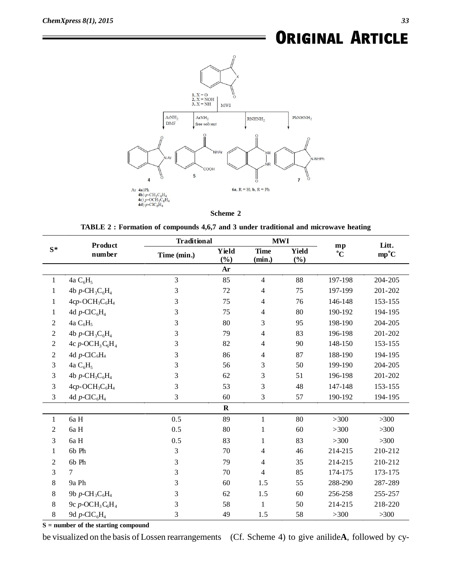

#### **Scheme 2**

**TABLE 2 : Formation of compounds 4,6,7 and 3 under traditional and microwave heating**

| $S^*$          | Product<br>number                                      |             | <b>Traditional</b> |                          | <b>MWI</b>          |                      | Litt.         |
|----------------|--------------------------------------------------------|-------------|--------------------|--------------------------|---------------------|----------------------|---------------|
|                |                                                        | Time (min.) | Yield<br>(%)       | <b>Time</b><br>(min.)    | <b>Yield</b><br>(%) | mp<br>$\overline{C}$ | $mp^{\circ}C$ |
|                |                                                        |             | Ar                 |                          |                     |                      |               |
| $\mathbf{1}$   | 4a $C_6H_5$                                            | 3           | 85                 | $\overline{\mathcal{A}}$ | 88                  | 197-198              | 204-205       |
| $\mathbf{1}$   | 4b p-CH <sub>3</sub> $C_6H_4$                          | 3           | 72                 | 4                        | 75                  | 197-199              | 201-202       |
| 1              | 4cp-OCH <sub>3</sub> C <sub>6</sub> H <sub>4</sub>     | 3           | 75                 | 4                        | 76                  | 146-148              | 153-155       |
| 1              | 4d p-ClC <sub>6</sub> H <sub>4</sub>                   | 3           | 75                 | 4                        | 80                  | 190-192              | 194-195       |
| 2              | 4a $C_6H_5$                                            | 3           | 80                 | 3                        | 95                  | 198-190              | 204-205       |
| 2              | 4b p-CH <sub>3</sub> $C_6H_4$                          | 3           | 79                 | 4                        | 83                  | 196-198              | 201-202       |
| $\overline{c}$ | 4c $p$ -OCH <sub>3</sub> C <sub>6</sub> H <sub>4</sub> | 3           | 82                 | 4                        | 90                  | 148-150              | 153-155       |
| 2              | 4d p-ClC <sub>6</sub> H <sub>4</sub>                   | 3           | 86                 | 4                        | 87                  | 188-190              | 194-195       |
| 3              | 4a $C_6H_5$                                            | 3           | 56                 | 3                        | 50                  | 199-190              | 204-205       |
| 3              | 4b $p$ -CH <sub>3</sub> C <sub>6</sub> H <sub>4</sub>  | 3           | 62                 | 3                        | 51                  | 196-198              | 201-202       |
| 3              | 4cp-OCH <sub>3</sub> C <sub>6</sub> H <sub>4</sub>     | 3           | 53                 | 3                        | 48                  | 147-148              | 153-155       |
| 3              | 4d p-ClC <sub>6</sub> H <sub>4</sub>                   | 3           | 60                 | 3                        | 57                  | 190-192              | 194-195       |
|                |                                                        |             | $\mathbf R$        |                          |                     |                      |               |
| $\mathbf{1}$   | 6a H                                                   | 0.5         | 89                 | $\mathbf{1}$             | 80                  | $>300$               | $>300$        |
| 2              | 6a H                                                   | 0.5         | 80                 | $\mathbf{1}$             | 60                  | $>300$               | $>300$        |
| 3              | 6a H                                                   | 0.5         | 83                 | $\mathbf{1}$             | 83                  | $>300$               | $>300$        |
| 1              | 6b Ph                                                  | 3           | 70                 | 4                        | 46                  | 214-215              | 210-212       |
| 2              | 6b Ph                                                  | 3           | 79                 | 4                        | 35                  | 214-215              | 210-212       |
| 3              | 7                                                      | 3           | 70                 | 4                        | 85                  | 174-175              | 173-175       |
| 8              | 9a Ph                                                  | 3           | 60                 | 1.5                      | 55                  | 288-290              | 287-289       |
| 8              | 9b $p$ -CH <sub>3</sub> C <sub>6</sub> H <sub>4</sub>  | 3           | 62                 | 1.5                      | 60                  | 256-258              | 255-257       |
| $8\,$          | 9c $p$ -OC $H_3C_6H_4$                                 | 3           | 58                 | 1                        | 50                  | 214-215              | 218-220       |
| $8\,$          | 9d $p$ -ClC <sub>6</sub> H <sub>4</sub>                | 3           | 49                 | 1.5                      | 58                  | $>300$               | $>300$        |

**S = number of the starting compound**

be visualized on the basis of Lossen rearrangements (Cf. Scheme 4) to give anilide**A**, followed by cy-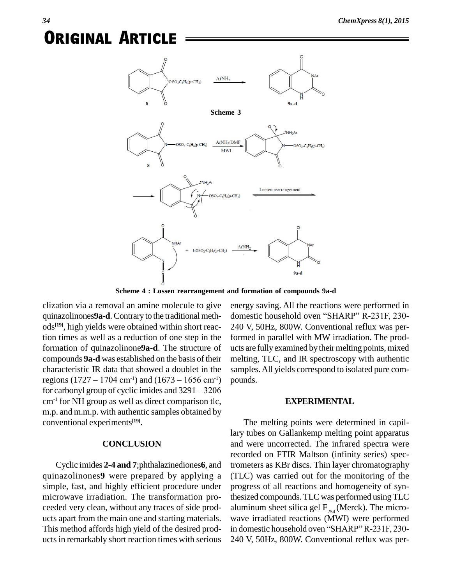

**Scheme 4 : Lossen rearrangement and formation of compounds 9a-d**

clization via a removal an amine molecule to give quinazolinones9a-d. Contrary to the traditional methods **[19]**, high yields were obtained within short reaction times as well as a reduction of one step in the formation of quinazolinone**9a-d**. The structure of compounds **9a-d** was established on the basis of their characteristic IR data that showed a doublet in the compounds **9a-d** was established on the basis of their melcharacteristic IR data that showed a doublet in the sam regions  $(1727 - 1704 \text{ cm}^{-1})$  and  $(1673 - 1656 \text{ cm}^{-1})$  pou characteristic IR data that showed a doublet in the sample<br>regions  $(1727 - 1704 \text{ cm}^{-1})$  and  $(1673 - 1656 \text{ cm}^{-1})$  pounds<br>for carbonyl group of cyclic imides and  $3291 - 3206$ cm-1 for NH group as well as direct comparison tlc, m.p. and m.m.p. with authentic samples obtained by conventional experiments **[19]**.

#### **CONCLUSION**

Cyclic imides **2**-**4 and 7**;phthalazinediones**6**, and quinazolinones**9** were prepared by applying a simple, fast, and highly efficient procedure under microwave irradiation. The transformation pro ceeded very clean, without any traces of side prod- This method affords high yield of the desired prod- in domestic household oven "SHARP" R-231F, 230ucts in remarkably short reaction times with serious

energy saving. All the reactions were performed in domestic household oven "SHARP" R-231F, 230-240 V, 50Hz, 800W. Conventional reflux was performed in parallel with MW irradiation. The prod ucts are fully examined by their melting points, mixed melting, TLC, and IR spectroscopy with authentic samples.All yields correspond to isolated pure com pounds.

#### **EXPERIMENTAL**

ucts apart from the main one and starting materials. wave irradiated reactions (MWI) were performed The melting points were determined in capillary tubes on Gallankemp melting point apparatus and were uncorrected. The infrared spectra were recorded on FTIR Maltson (infinity series) spectrometers as KBr discs. Thin layer chromatography (TLC) was carried out for the monitoring of the progress of all reactions and homogeneity of synthesized compounds. TLC was performed usingTLC aluminum sheet silica gel  $F_{254}$  (Merck). The micro-<br>wave irradiated reactions (MWI) were performed<br>in domestic household oven "SHARP" R-231F, 230-240 V, 50Hz, 800W. Conventional reflux was per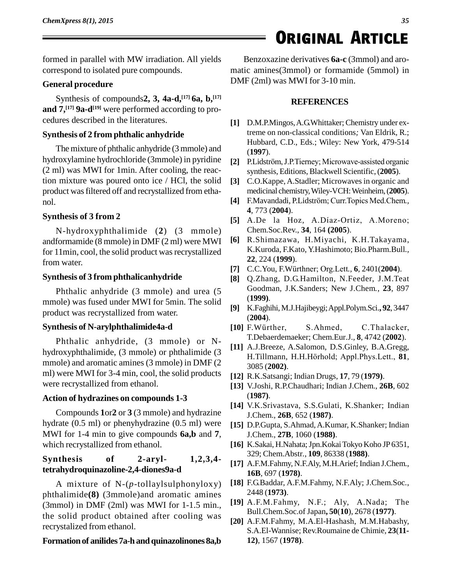formed in parallel with MW irradiation. All yields correspond to isolated pure compounds.

#### **General procedure**

Synthesis of compounds**2, 3, 4a-d, [17] 6a, b, [17] and 7, [17] 9a-d [19]** were performed according to pro cedures described in the literatures.

#### **Synthesis of 2 from phthalic anhydride**

The mixture of phthalic anhydride (3mmole) and hydroxylamine hydrochloride (3mmole) in pyridine (2 ml) was MWI for 1min. After cooling, the reaction mixture was poured onto ice / HCl, the solid product wasfiltered off and recrystallized from etha nol.

#### **Synthesis of 3 from 2**

N-hydroxyphthalimide (**2**) (3 mmole) andformamide (8 mmole) in DMF (2 ml) were MWI for 11min, cool, the solid product was recrystallized from water.

#### **Synthesis of 3 from phthalicanhydride**

Phthalic anhydride (3 mmole) and urea (5 mmole) was fused under MWI for 5min. The solid product was recrystallized from water.

#### **Synthesis of N-arylphthalimide4a-d**

Phthalic anhydride, (3 mmole) or N hydroxyphthalimide, (3 mmole) or phthalimide (3 mmole) and aromatic amines (3 mmole) in DMF (2 ml) were MWI for 3-4 min, cool, the solid products were recrystallized from ethanol.

#### **Action of hydrazines on compounds 1-3**

Compounds **1**or**2** or **3** (3 mmole) and hydrazine hydrate (0.5 ml) or phenyhydrazine (0.5 ml) were MWI for 1-4 min to give compounds **6a,b** and **7**, which recrystallized from ethanol.

#### **Synthesis of 2-aryl- 1,2,3,4 tetrahydroquinazoline-2,4-diones9a-d**

A mixture of N-(*p*-tollaylsulphonyloxy) phthalimide**(8)** (3mmole)and aromatic amines (3mmol) in DMF (2ml) was MWI for 1-1.5 min., the solid product obtained after cooling was recrystalized from ethanol.

#### **Formation of anilides7a-h and quinazolinones 8a,b**

Benzoxazine derivatives **6a-c** (3mmol) and aro matic amines(3mmol) or formamide (5mmol) in DMF (2ml) was MWI for 3-10 min.

**ORIGINAL ARTICLE** 

#### **REFERENCES**

- **[1]** D.M.P.Mingos,A.G.Whittaker;Chemistry under extreme on non-classical conditions*;* Van Eldrik, R.; Hubbard, C.D., Eds.; Wiley: New York, 479-514 (**1997**).
- [2] P.Lidström, J.P.Tierney; Microwave-assisted organic synthesis, Editions, Blackwell Scientific, (2005).
- **[3]** C.O.Kappe,A.Stadler; Microwaves in organic and **[4]** F.Mavandadi, P.Lidstrˆm; Curr.Topics Med.Chem*.,* medicinal chemistry,Wiley-VCH:Weinheim,(**2005**).
- **4**, 773 (**2004**). [4] F.Mavandadi, P.Lidström; Curr. Topics Med.Chem.,<br>4, 773 (**2004**).<br>[5] A.De la Hoz, A.Díaz-Ortiz, A.Moreno;
- Chem.Soc.Rev., **34**, 164 **(2005**).
- **[6]** R.Shimazawa, H.Miyachi, K.H.Takayama, K.Kuroda, F.Kato, Y.Hashimoto; Bio.Pharm.Bull*.,* **22**, 224 (**1999**).
- **[7]** C.C.You, F.W¸rthner; Org.Lett*.,* **<sup>6</sup>**, 2401(**2004**).
- **[8]** Q.Zhang, D.G.Hamilton, N.Feeder, J.M.Teat Goodman, J.K.Sanders; New J.Chem*.*, **23**, 897 (**1999)**.
- **[9]** K.Faghihi, M.J.Hajibeygi; Appl.Polym.Sci., **92**, 3447<br> **[10]** F.Würther, S.Ahmed, C.Thalacker, (**2004**).
- T.Debaerdemaeker; Chem.Eur*.*J.*,* **8**, 4742 (**2002**).
- **[11]** A.J.Breeze, A.Salomon, D.S.Ginley, B.A.Gregg, H.Tillmann, H.H.Hörhold; Appl.Phys.Lett., 81, 3085 (**2002)**.
- **[12]** R.K.Satsangi; Indian Drugs, **17**, 79 (**1979)**.
- **[13]** V.Joshi, R.P.Chaudhari; Indian J.Chem., **26B**, 602 (**1987)**.
- **[14]** V.K.Srivastava, S.S.Gulati, K.Shanker; Indian J.Chem., **26B**, 652 (**1987)**.
- **[15]** D.P.Gupta, S.Ahmad,A.Kumar, K.Shanker; Indian J.Chem., **27B**, 1060 (**1988)**.
- **[16]** K.Sakai, H.Nahata;Jpn.KokaiTokyo Koho JP6351, 329; Chem.Abstr*.*, **109**, 86338 (**1988)**.
- **[17]** A.F.M.Fahmy, N.F.Aly, M.H.Arief; Indian J.Chem*.*, **16B**, 697 (**1978)**.
- **[18]** F.G.Baddar, A.F.M.Fahmy, N.F.Aly; J.Chem.Soc*.*, 2448 (**1973)**.
- **[19]** A.F.M.Fahmy, N.F.; Aly, A.Nada; The Bull.Chem.Soc.of Japan**, 50**(**10**), 2678 (**1977)**.
- **[20]** A.F.M.Fahmy, M.A.El-Hashash, M.M.Habashy, S.A.El-Wannise; Rev.Roumaine de Chimie, **23**(**11- 12)**, 1567 (**1978)**.